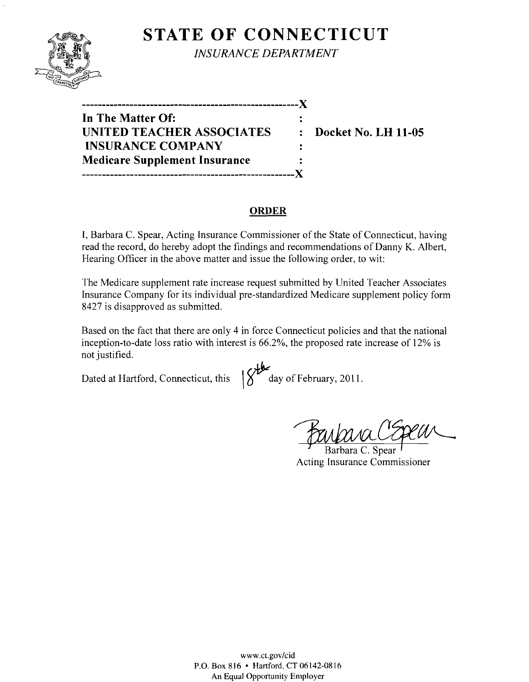# **STATE OF CONNECTICUT**



*INSURANCE DEPARTMENT* 

| ________________________________     |   |
|--------------------------------------|---|
| In The Matter Of:                    |   |
| UNITED TEACHER ASSOCIATES            | ٠ |
| <b>INSURANCE COMPANY</b>             |   |
| <b>Medicare Supplement Insurance</b> |   |
|                                      |   |

**:** Docket No. LH 11-05

#### **ORDER**

I, Barbara C. Spear, Acting Insurance Commissioner of the State of Connecticut, having read the record, do hereby adopt the findings and recommendations of Danny K. Albert, Hearing Officer in the above matter and issue the following order, to wit:

The Medicare supplement rate increase request submitted by United Teacher Associates Insurance Company for its individual pre-standardized Medicare supplement policy form 8427 is disapproved as submitted.

Based on the fact that there are only 4 in force Connecticut policies and that the national inception-to-date loss ratio with interest is 66.2%, the proposed rate increase of 12% is not justified.

Dated at Hartford, Connecticut, this  $\frac{d}{d}$  day of February, 2011.

Barbara CEpeur

Acting Insurance Commissioner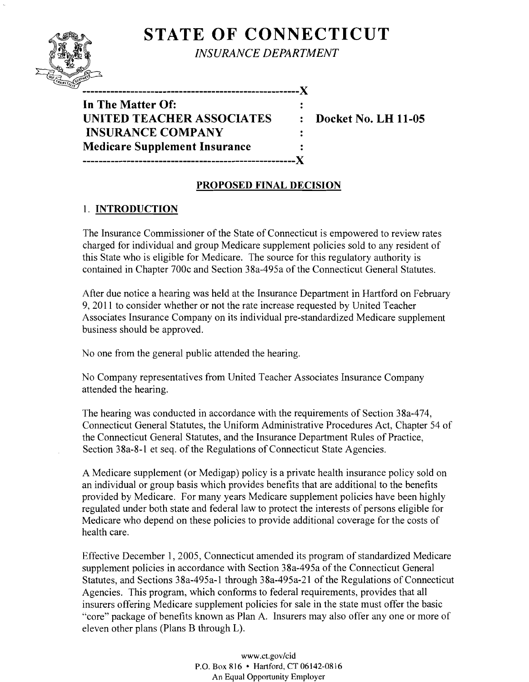# **STATE OF CONNECTICUT**



*INSURANCE DEPARTMENT* 

**In The Matter Of: UNITED TEACHER ASSOCIATES : Docket No. LH 11-05 INSURANCE COMPANY Medicare Supplement Insurance -----------------------------------------------------)(** 

" **------------------------------------------------------)(** 

## **PROPOSED FINAL DECISION**

 $\ddot{\cdot}$  $\ddot{\mathbf{z}}$ 

## 1. **INTRODUCTION**

The Insurance Commissioner of the State of Connecticut is empowered to review rates charged for individual and group Medicare supplement policies sold to any resident of this State who is eligible for Medicare. The source for this regulatory authority is contained in Chapter 700c and Section 38a-495a of the Connecticut General Statutes.

After due notice a hearing was held at the Insurance Department in Hartford on February 9,2011 to consider whether or not the rate increase requested by United Teacher Associates Insurance Company on its individual pre-standardized Medicare supplement business should be approved.

No one from the general public attended the hearing.

No Company representatives from United Teacher Associates Insurance Company attended the hearing.

The hearing was conducted in accordance with the requirements of Section 38a-474, Connecticut General Statutes, the Uniform Administrative Procedures Act, Chapter 54 of the Connecticut General Statutes, and the Insurance Department Rules of Practice, Section 38a-8-1 et seq. of the Regulations of Connecticut State Agencies.

A Medicare supplement (or Medigap) policy is a private health insurance policy sold on an individual or group basis which provides benefits that are additional to the benefits provided by Medicare. For many years Medicare supplement policies have been highly regulated under both state and federal law to protect the interests of persons eligible for Medicare who depend on these policies to provide additional coverage for the costs of health care.

Effective December 1,2005, Connecticut amended its program of standardized Medicare supplement policies in accordance with Section 38a-495a of the Connecticut General Statutes, and Sections 38a-495a-l through 38a-495a-21 of the Regulations of Connecticut Agencies. This program, which conforms to federal requirements, provides that all insurers offering Medicare supplement policies for sale in the state must offer the basic "core" package of benefits known as Plan A. Insurers may also offer anyone or more of eleven other plans (Plans B through L).

> www.ct.gov/cid P.O. Box 816 • Hanford, CT 06142-0816 An Equal Opportunity Employer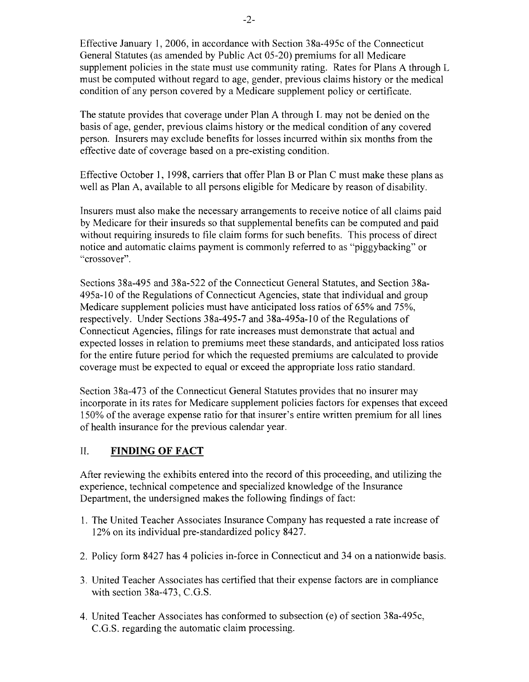Effective January 1,2006, in accordance with Section 38a-495c of the Connecticut General Statutes (as amended by Public Act 05-20) premiums for all Medicare supplement policies in the state must use community rating. Rates for Plans A through L must be computed without regard to age, gender, previous claims history or the medical condition of any person covered by a Medicare supplement policy or certificate.

The statute provides that coverage under Plan A through L may not be denied on the basis of age, gender, previous claims history or the medical condition of any covered person. Insurers may exclude benefits for losses incurred within six months from the effective date of coverage based on a pre-existing condition.

Effective October 1, 1998, carriers that offer Plan B or Plan C must make these plans as well as Plan A, available to all persons eligible for Medicare by reason of disability.

Insurers must also make the necessary arrangements to receive notice of all claims paid by Medicare for their insureds so that supplemental benefits can be computed and paid without requiring insureds to file claim forms for such benefits. This process of direct notice and automatic claims payment is commonly referred to as "piggybacking" or "crossover".

Sections 38a-495 and 38a-522 of the Connecticut General Statutes, and Section 38a-495a-l0 of the Regulations of Connecticut Agencies, state that individual and group Medicare supplement policies must have anticipated loss ratios of 65% and 75%, respectively. Under Sections 38a-495-7 and 38a-495a-l0 of the Regulations of Connecticut Agencies, filings for rate increases must demonstrate that actual and expected losses in relation to premiums meet these standards, and anticipated loss ratios for the entire future period for which the requested premiums are calculated to provide coverage must be expected to equal or exceed the appropriate loss ratio standard.

Section 38a-473 of the Connecticut General Statutes provides that no insurer may incorporate in its rates for Medicare supplement policies factors for expenses that exceed 150% of the average expense ratio for that insurer's entire written premium for all lines of health insurance for the previous calendar year.

## II. **FINDING OF FACT**

After reviewing the exhibits entered into the record of this proceeding, and utilizing the experience, technical competence and specialized knowledge of the Insurance Department, the undersigned makes the following findings of fact:

- 1. The United Teacher Associates Insurance Company has requested a rate increase of 12% on its individual pre-standardized policy 8427.
- 2. Policy form 8427 has 4 policies in-force in Connecticut and 34 on a nationwide basis.
- 3. United Teacher Associates has certified that their expense factors are in compliance with section 38a-473, C.G.S.
- 4. United Teacher Associates has conformed to subsection (e) of section 38a-495c, C.G.S. regarding the automatic claim processing.